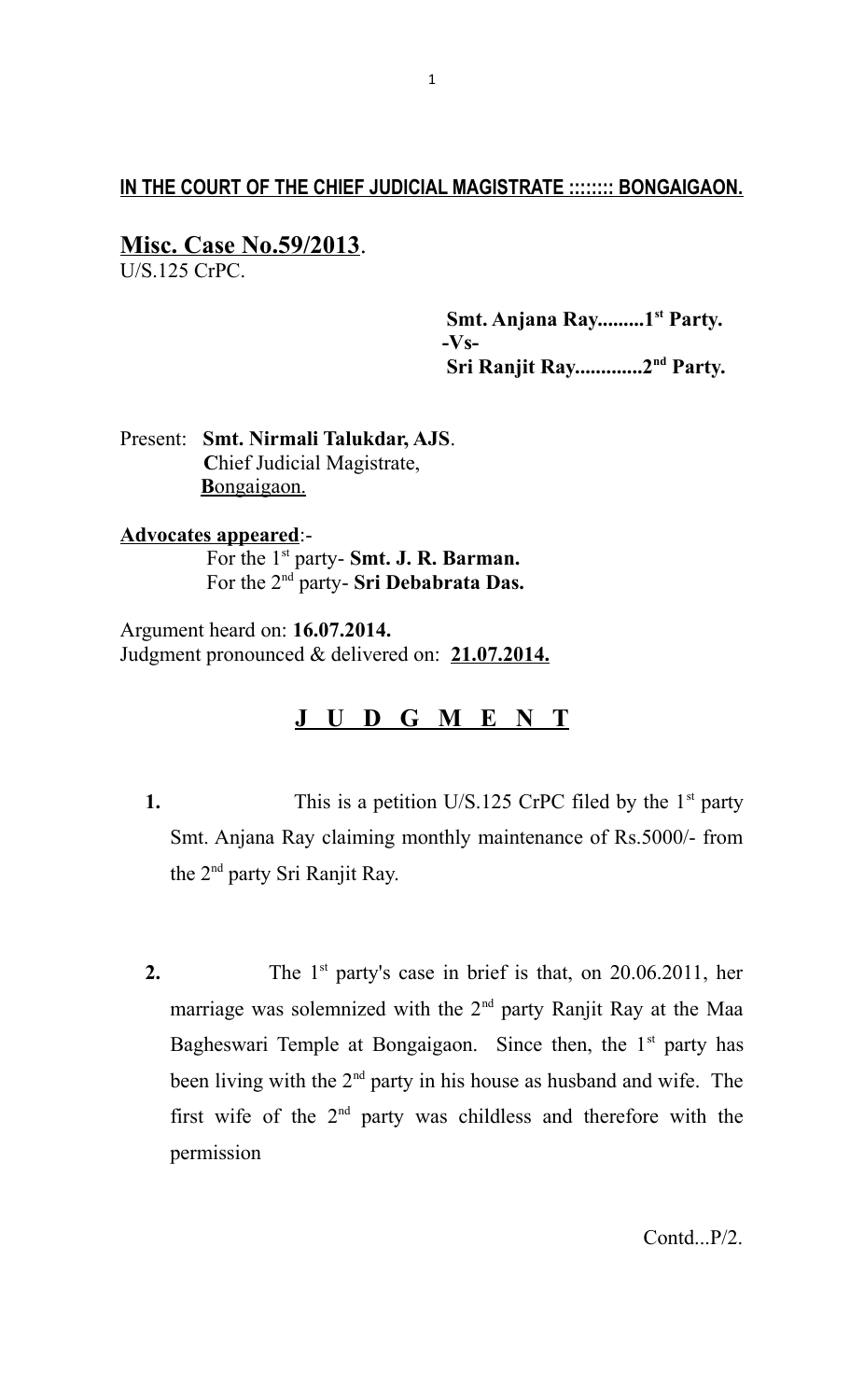## **IN THE COURT OF THE CHIEF JUDICIAL MAGISTRATE :::::::: BONGAIGAON.**

## **Misc. Case No.59/2013**.

U/S.125 CrPC.

 **Smt. Anjana Ray.........1st Party. -Vs- Sri Ranjit Ray.............2nd Party.**

Present: **Smt. Nirmali Talukdar, AJS**. **C**hief Judicial Magistrate, **B** ongaigaon.

## **Advocates appeared**:-

 For the 1st party- **Smt. J. R. Barman.** For the 2nd party- **Sri Debabrata Das.**

Argument heard on: **16.07.2014.** Judgment pronounced & delivered on: **21.07.2014.**

## **J U D G M E N T**

- **1.** This is a petition U/S.125 CrPC filed by the 1<sup>st</sup> party Smt. Anjana Ray claiming monthly maintenance of Rs.5000/- from the 2nd party Sri Ranjit Ray.
- **2.** The 1<sup>st</sup> party's case in brief is that, on 20.06.2011, her marriage was solemnized with the 2<sup>nd</sup> party Ranjit Ray at the Maa Bagheswari Temple at Bongaigaon. Since then, the  $1<sup>st</sup>$  party has been living with the  $2<sup>nd</sup>$  party in his house as husband and wife. The first wife of the  $2<sup>nd</sup>$  party was childless and therefore with the permission

Contd...P/2.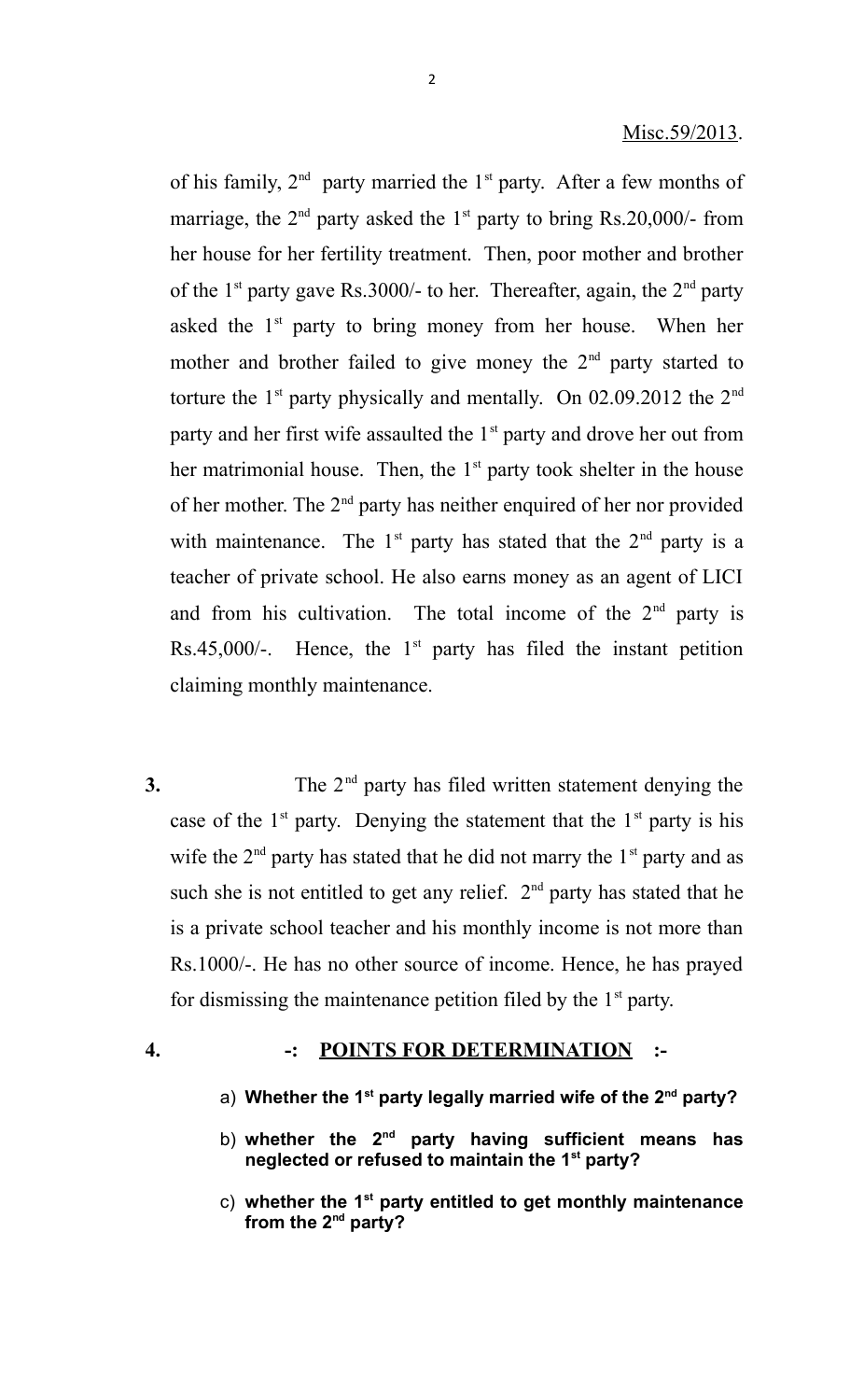of his family,  $2<sup>nd</sup>$  party married the 1<sup>st</sup> party. After a few months of marriage, the  $2<sup>nd</sup>$  party asked the  $1<sup>st</sup>$  party to bring Rs.20,000/- from her house for her fertility treatment. Then, poor mother and brother of the 1<sup>st</sup> party gave Rs.3000/- to her. Thereafter, again, the  $2<sup>nd</sup>$  party asked the  $1<sup>st</sup>$  party to bring money from her house. When her mother and brother failed to give money the  $2<sup>nd</sup>$  party started to torture the  $1<sup>st</sup>$  party physically and mentally. On 02.09.2012 the  $2<sup>nd</sup>$ party and her first wife assaulted the  $1<sup>st</sup>$  party and drove her out from her matrimonial house. Then, the  $1<sup>st</sup>$  party took shelter in the house of her mother. The  $2<sup>nd</sup>$  party has neither enquired of her nor provided with maintenance. The  $1^{st}$  party has stated that the  $2^{nd}$  party is a teacher of private school. He also earns money as an agent of LICI and from his cultivation. The total income of the  $2<sup>nd</sup>$  party is Rs.45,000/-. Hence, the  $1<sup>st</sup>$  party has filed the instant petition claiming monthly maintenance.

- **3.** The 2<sup>nd</sup> party has filed written statement denying the case of the  $1<sup>st</sup>$  party. Denying the statement that the  $1<sup>st</sup>$  party is his wife the  $2<sup>nd</sup>$  party has stated that he did not marry the  $1<sup>st</sup>$  party and as such she is not entitled to get any relief.  $2<sup>nd</sup>$  party has stated that he is a private school teacher and his monthly income is not more than Rs.1000/-. He has no other source of income. Hence, he has prayed for dismissing the maintenance petition filed by the  $1<sup>st</sup>$  party.
- 

#### **4. -: POINTS FOR DETERMINATION :-**

- a) **Whether the 1st party legally married wife of the 2nd party?**
- b) **whether the 2nd party having sufficient means has neglected or refused to maintain the 1st party?**
- c) **whether the 1st party entitled to get monthly maintenance from the 2nd party?**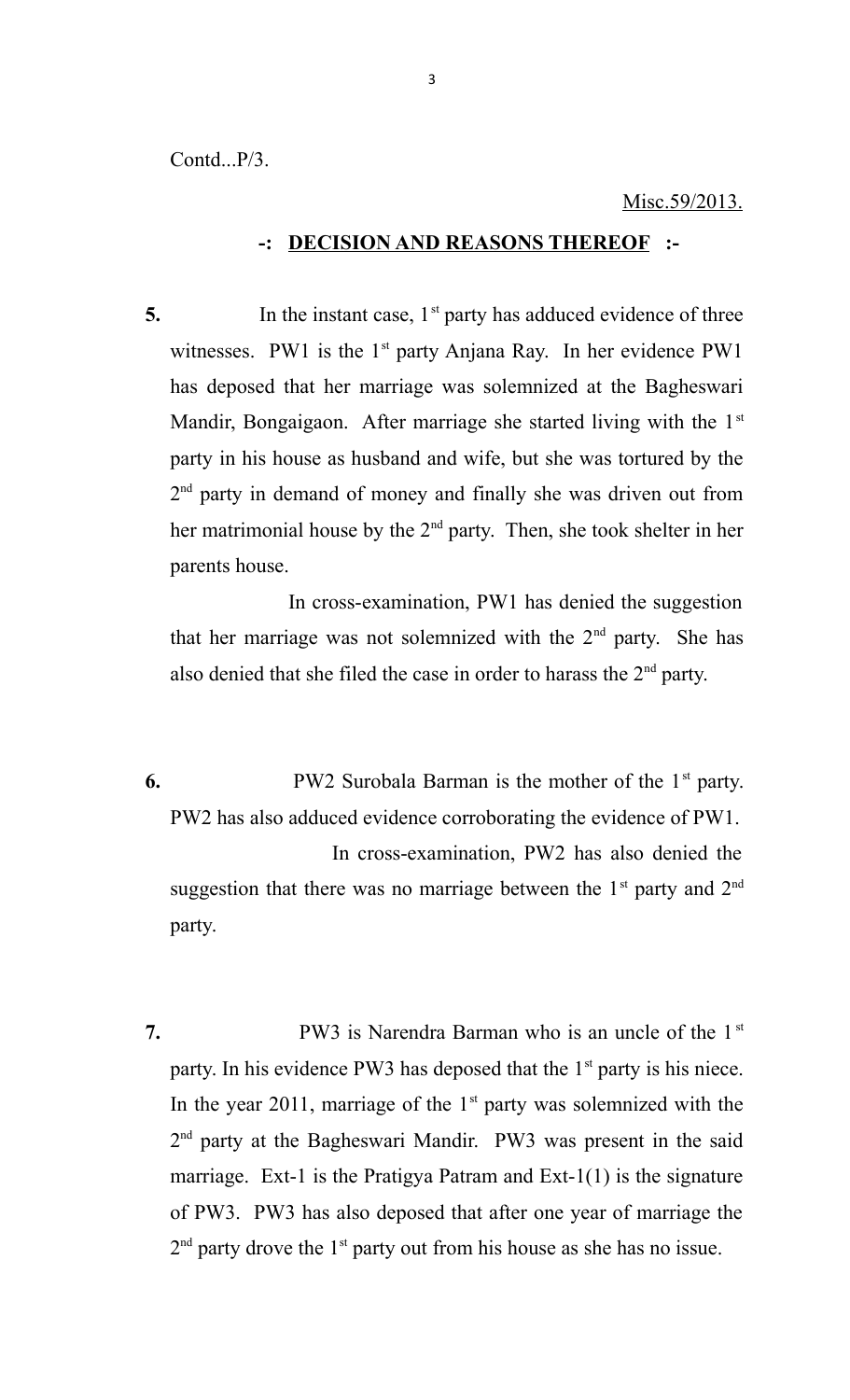Contd...P/3.

#### Misc.59/2013.

#### **-: DECISION AND REASONS THEREOF :-**

**5.** In the instant case, 1<sup>st</sup> party has adduced evidence of three witnesses. PW1 is the  $1<sup>st</sup>$  party Anjana Ray. In her evidence PW1 has deposed that her marriage was solemnized at the Bagheswari Mandir, Bongaigaon. After marriage she started living with the 1st party in his house as husband and wife, but she was tortured by the 2<sup>nd</sup> party in demand of money and finally she was driven out from her matrimonial house by the 2<sup>nd</sup> party. Then, she took shelter in her parents house.

 In cross-examination, PW1 has denied the suggestion that her marriage was not solemnized with the  $2<sup>nd</sup>$  party. She has also denied that she filed the case in order to harass the  $2<sup>nd</sup>$  party.

- **6.** PW2 Surobala Barman is the mother of the 1<sup>st</sup> party. PW2 has also adduced evidence corroborating the evidence of PW1. In cross-examination, PW2 has also denied the suggestion that there was no marriage between the  $1<sup>st</sup>$  party and  $2<sup>nd</sup>$ party.
- **7.** PW3 is Narendra Barman who is an uncle of the 1<sup>st</sup> party. In his evidence PW3 has deposed that the  $1<sup>st</sup>$  party is his niece. In the year 2011, marriage of the  $1<sup>st</sup>$  party was solemnized with the 2<sup>nd</sup> party at the Bagheswari Mandir. PW3 was present in the said marriage. Ext-1 is the Pratigya Patram and  $Ext-1(1)$  is the signature of PW3. PW3 has also deposed that after one year of marriage the  $2<sup>nd</sup>$  party drove the 1<sup>st</sup> party out from his house as she has no issue.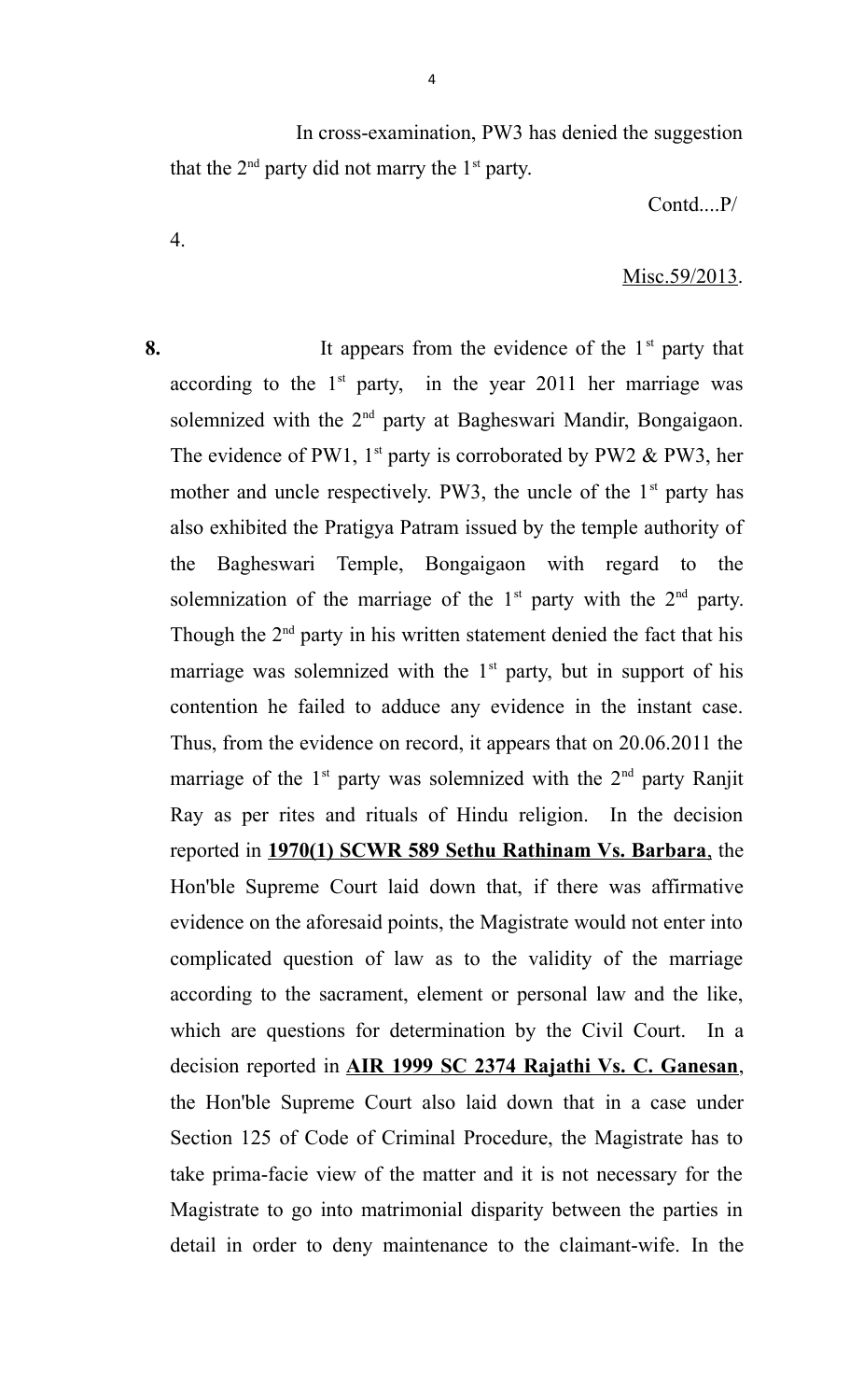In cross-examination, PW3 has denied the suggestion that the  $2<sup>nd</sup>$  party did not marry the  $1<sup>st</sup>$  party.

Contd....P/

#### Misc.59/2013.

**8.** It appears from the evidence of the 1<sup>st</sup> party that according to the  $1<sup>st</sup>$  party, in the year 2011 her marriage was solemnized with the 2<sup>nd</sup> party at Bagheswari Mandir, Bongaigaon. The evidence of PW1,  $1^{st}$  party is corroborated by PW2 & PW3, her mother and uncle respectively. PW3, the uncle of the  $1<sup>st</sup>$  party has also exhibited the Pratigya Patram issued by the temple authority of the Bagheswari Temple, Bongaigaon with regard to the solemnization of the marriage of the  $1<sup>st</sup>$  party with the  $2<sup>nd</sup>$  party. Though the  $2<sup>nd</sup>$  party in his written statement denied the fact that his marriage was solemnized with the  $1<sup>st</sup>$  party, but in support of his contention he failed to adduce any evidence in the instant case. Thus, from the evidence on record, it appears that on 20.06.2011 the marriage of the  $1<sup>st</sup>$  party was solemnized with the  $2<sup>nd</sup>$  party Ranjit Ray as per rites and rituals of Hindu religion. In the decision reported in **1970(1) SCWR 589 Sethu Rathinam Vs. Barbara**, the Hon'ble Supreme Court laid down that, if there was affirmative evidence on the aforesaid points, the Magistrate would not enter into complicated question of law as to the validity of the marriage according to the sacrament, element or personal law and the like, which are questions for determination by the Civil Court. In a decision reported in **AIR 1999 SC 2374 Rajathi Vs. C. Ganesan**, the Hon'ble Supreme Court also laid down that in a case under Section 125 of Code of Criminal Procedure, the Magistrate has to take prima-facie view of the matter and it is not necessary for the Magistrate to go into matrimonial disparity between the parties in detail in order to deny maintenance to the claimant-wife. In the

4.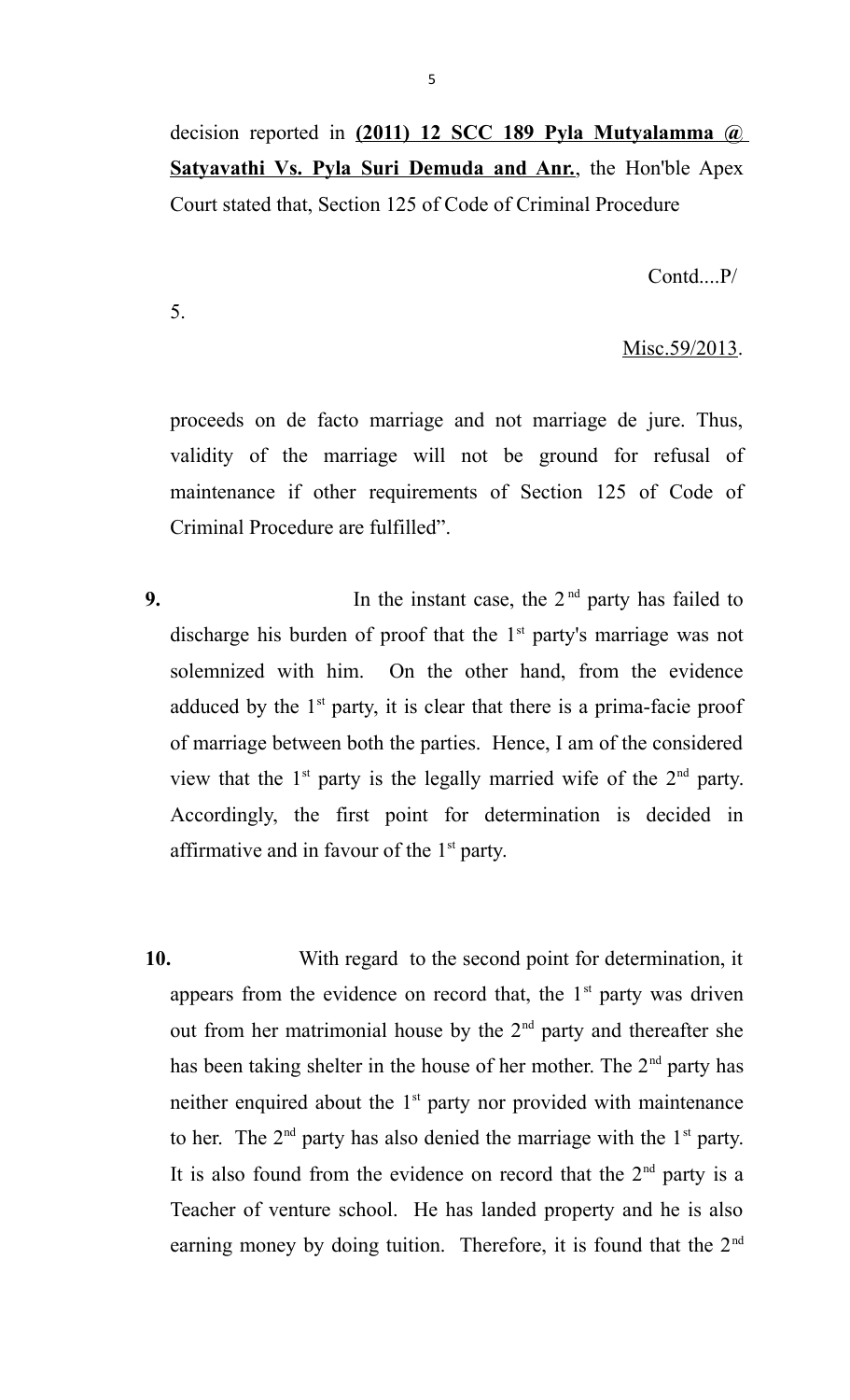decision reported in **(2011) 12 SCC 189 Pyla Mutyalamma @ Satyavathi Vs. Pyla Suri Demuda and Anr.**, the Hon'ble Apex Court stated that, Section 125 of Code of Criminal Procedure

Contd....P/

5.

### Misc.59/2013.

proceeds on de facto marriage and not marriage de jure. Thus, validity of the marriage will not be ground for refusal of maintenance if other requirements of Section 125 of Code of Criminal Procedure are fulfilled".

- **9.** In the instant case, the  $2<sup>nd</sup>$  party has failed to discharge his burden of proof that the  $1<sup>st</sup>$  party's marriage was not solemnized with him. On the other hand, from the evidence adduced by the  $1<sup>st</sup>$  party, it is clear that there is a prima-facie proof of marriage between both the parties. Hence, I am of the considered view that the  $1<sup>st</sup>$  party is the legally married wife of the  $2<sup>nd</sup>$  party. Accordingly, the first point for determination is decided in affirmative and in favour of the  $1<sup>st</sup>$  party.
- **10.** With regard to the second point for determination, it appears from the evidence on record that, the  $1<sup>st</sup>$  party was driven out from her matrimonial house by the  $2<sup>nd</sup>$  party and thereafter she has been taking shelter in the house of her mother. The 2<sup>nd</sup> party has neither enquired about the  $1<sup>st</sup>$  party nor provided with maintenance to her. The  $2<sup>nd</sup>$  party has also denied the marriage with the  $1<sup>st</sup>$  party. It is also found from the evidence on record that the  $2<sup>nd</sup>$  party is a Teacher of venture school. He has landed property and he is also earning money by doing tuition. Therefore, it is found that the  $2<sup>nd</sup>$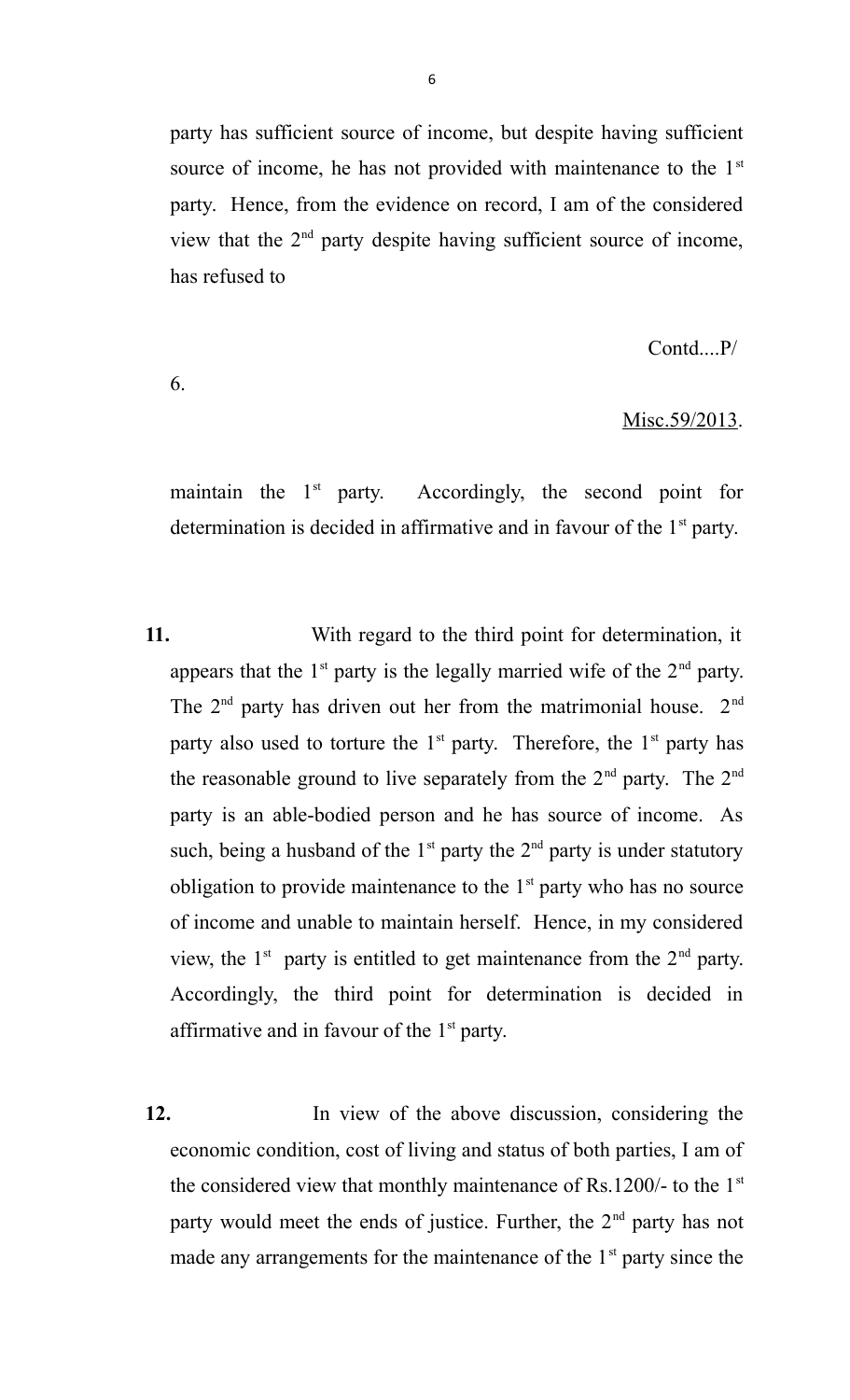party has sufficient source of income, but despite having sufficient source of income, he has not provided with maintenance to the  $1<sup>st</sup>$ party. Hence, from the evidence on record, I am of the considered view that the 2nd party despite having sufficient source of income, has refused to

Contd....P/

#### 6.

#### Misc.59/2013.

maintain the  $1<sup>st</sup>$  party. Accordingly, the second point for determination is decided in affirmative and in favour of the  $1<sup>st</sup>$  party.

- **11.** With regard to the third point for determination, it appears that the  $1<sup>st</sup>$  party is the legally married wife of the  $2<sup>nd</sup>$  party. The  $2<sup>nd</sup>$  party has driven out her from the matrimonial house.  $2<sup>nd</sup>$ party also used to torture the  $1<sup>st</sup>$  party. Therefore, the  $1<sup>st</sup>$  party has the reasonable ground to live separately from the  $2<sup>nd</sup>$  party. The  $2<sup>nd</sup>$ party is an able-bodied person and he has source of income. As such, being a husband of the  $1<sup>st</sup>$  party the  $2<sup>nd</sup>$  party is under statutory obligation to provide maintenance to the  $1<sup>st</sup>$  party who has no source of income and unable to maintain herself. Hence, in my considered view, the  $1<sup>st</sup>$  party is entitled to get maintenance from the  $2<sup>nd</sup>$  party. Accordingly, the third point for determination is decided in affirmative and in favour of the  $1<sup>st</sup>$  party.
- **12.** In view of the above discussion, considering the economic condition, cost of living and status of both parties, I am of the considered view that monthly maintenance of Rs.1200/- to the 1st party would meet the ends of justice. Further, the  $2<sup>nd</sup>$  party has not made any arrangements for the maintenance of the  $1<sup>st</sup>$  party since the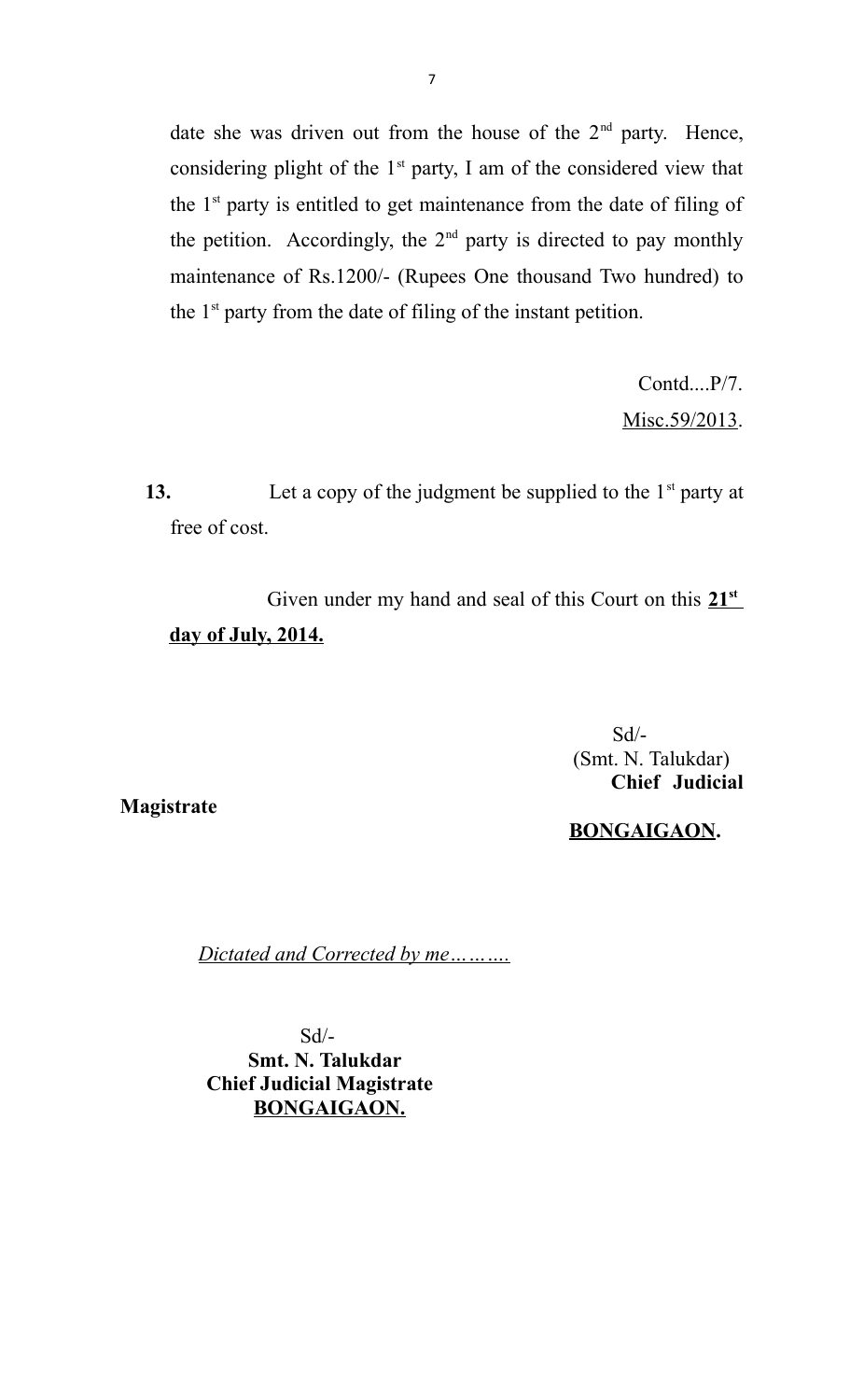date she was driven out from the house of the  $2<sup>nd</sup>$  party. Hence, considering plight of the 1<sup>st</sup> party, I am of the considered view that the  $1<sup>st</sup>$  party is entitled to get maintenance from the date of filing of the petition. Accordingly, the  $2<sup>nd</sup>$  party is directed to pay monthly maintenance of Rs.1200/- (Rupees One thousand Two hundred) to the  $1<sup>st</sup>$  party from the date of filing of the instant petition.

> Contd....P/7. Misc.59/2013.

**13.** Let a copy of the judgment be supplied to the 1<sup>st</sup> party at free of cost.

Given under my hand and seal of this Court on this  $21<sup>st</sup>$ day of July, 2014.

> Sd/- (Smt. N. Talukdar)  **Chief Judicial**

**Magistrate**

 **BONGAIGAON.**

*Dictated and Corrected by me……….* 

 Sd/-  **Smt. N. Talukdar Chief Judicial Magistrate BONGAIGAON.**